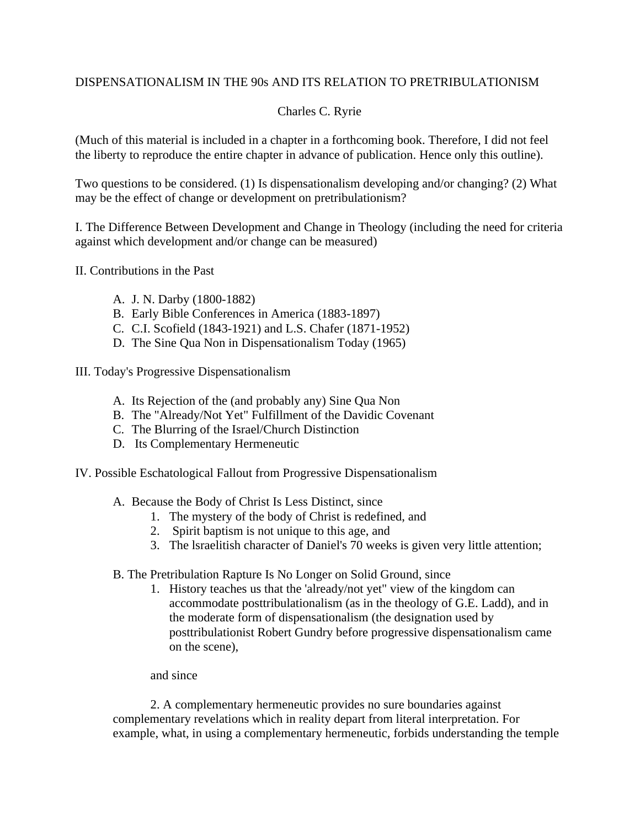## DISPENSATIONALISM IN THE 90s AND ITS RELATION TO PRETRIBULATIONISM

## Charles C. Ryrie

(Much of this material is included in a chapter in a forthcoming book. Therefore, I did not feel the liberty to reproduce the entire chapter in advance of publication. Hence only this outline).

Two questions to be considered. (1) Is dispensationalism developing and/or changing? (2) What may be the effect of change or development on pretribulationism?

I. The Difference Between Development and Change in Theology (including the need for criteria against which development and/or change can be measured)

II. Contributions in the Past

- A. J. N. Darby (1800-1882)
- B. Early Bible Conferences in America (1883-1897)
- C. C.I. Scofield (1843-1921) and L.S. Chafer (1871-1952)
- D. The Sine Qua Non in Dispensationalism Today (1965)

III. Today's Progressive Dispensationalism

- A. Its Rejection of the (and probably any) Sine Qua Non
- B. The "Already/Not Yet" Fulfillment of the Davidic Covenant
- C. The Blurring of the Israel/Church Distinction
- D. Its Complementary Hermeneutic
- IV. Possible Eschatological Fallout from Progressive Dispensationalism
	- A. Because the Body of Christ Is Less Distinct, since
		- 1. The mystery of the body of Christ is redefined, and
		- 2. Spirit baptism is not unique to this age, and
		- 3. The lsraelitish character of Daniel's 70 weeks is given very little attention;
	- B. The Pretribulation Rapture Is No Longer on Solid Ground, since
		- 1. History teaches us that the 'already/not yet" view of the kingdom can accommodate posttribulationalism (as in the theology of G.E. Ladd), and in the moderate form of dispensationalism (the designation used by posttribulationist Robert Gundry before progressive dispensationalism came on the scene),

## and since

2. A complementary hermeneutic provides no sure boundaries against complementary revelations which in reality depart from literal interpretation. For example, what, in using a complementary hermeneutic, forbids understanding the temple